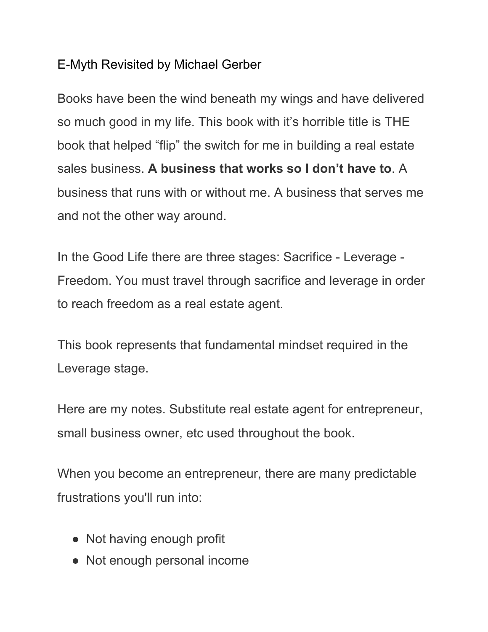## E-Myth Revisited by Michael Gerber

Books have been the wind beneath my wings and have delivered so much good in my life. This book with it's horrible title is THE book that helped "flip" the switch for me in building a real estate sales business. **A business that works so I don't have to**. A business that runs with or without me. A business that serves me and not the other way around.

In the Good Life there are three stages: Sacrifice - Leverage - Freedom. You must travel through sacrifice and leverage in order to reach freedom as a real estate agent.

This book represents that fundamental mindset required in the Leverage stage.

Here are my notes. Substitute real estate agent for entrepreneur, small business owner, etc used throughout the book.

When you become an entrepreneur, there are many predictable frustrations you'll run into:

- Not having enough profit
- Not enough personal income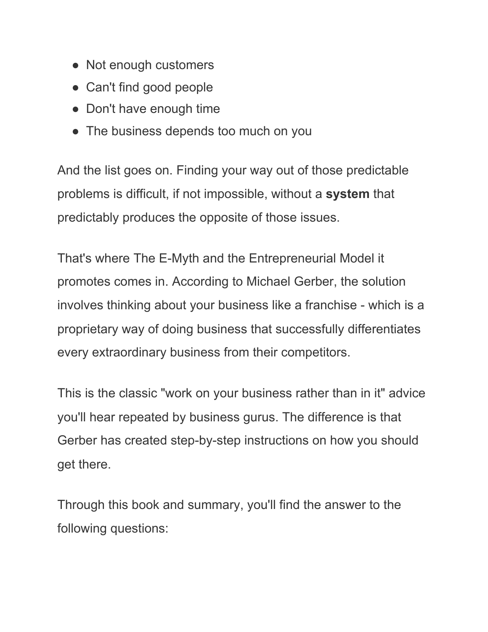- Not enough customers
- Can't find good people
- Don't have enough time
- The business depends too much on you

And the list goes on. Finding your way out of those predictable problems is difficult, if not impossible, without a **system** that predictably produces the opposite of those issues.

That's where The E-Myth and the Entrepreneurial Model it promotes comes in. According to Michael Gerber, the solution involves thinking about your business like a franchise - which is a proprietary way of doing business that successfully differentiates every extraordinary business from their competitors.

This is the classic "work on your business rather than in it" advice you'll hear repeated by business gurus. The difference is that Gerber has created step-by-step instructions on how you should get there.

Through this book and summary, you'll find the answer to the following questions: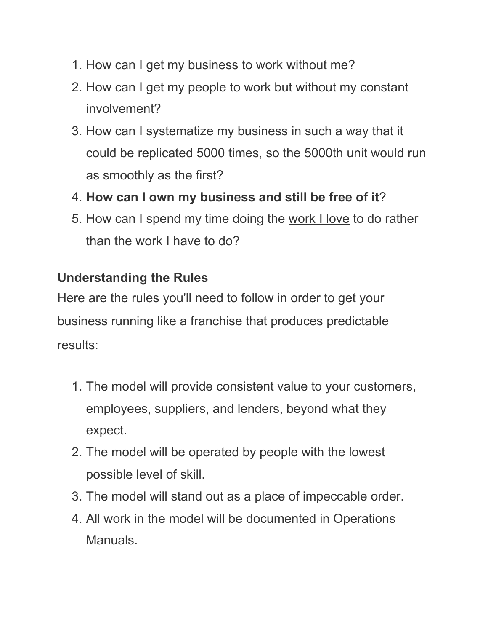- 1. How can I get my business to work without me?
- 2. How can I get my people to work but without my constant involvement?
- 3. How can I systematize my business in such a way that it could be replicated 5000 times, so the 5000th unit would run as smoothly as the first?
- 4. **How can I own my business and still be free of it**?
- 5. How can I spend my time doing the work I love to do rather than the work I have to do?

# **Understanding the Rules**

Here are the rules you'll need to follow in order to get your business running like a franchise that produces predictable results:

- 1. The model will provide consistent value to your customers, employees, suppliers, and lenders, beyond what they expect.
- 2. The model will be operated by people with the lowest possible level of skill.
- 3. The model will stand out as a place of impeccable order.
- 4. All work in the model will be documented in Operations Manuals.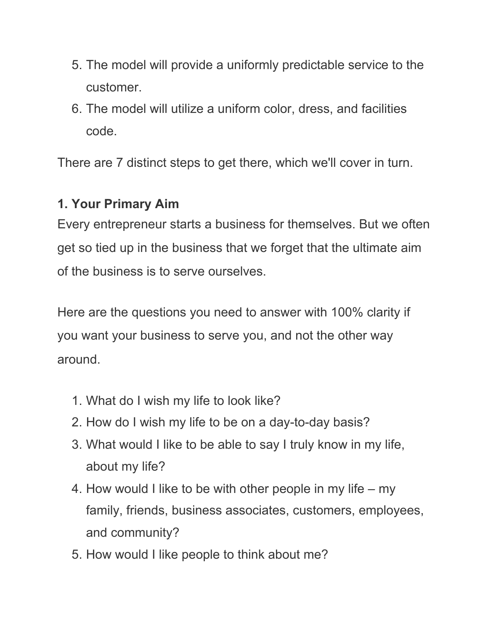- 5. The model will provide a uniformly predictable service to the customer.
- 6. The model will utilize a uniform color, dress, and facilities code.

There are 7 distinct steps to get there, which we'll cover in turn.

## **1. Your Primary Aim**

Every entrepreneur starts a business for themselves. But we often get so tied up in the business that we forget that the ultimate aim of the business is to serve ourselves.

Here are the questions you need to answer with 100% clarity if you want your business to serve you, and not the other way around.

- 1. What do I wish my life to look like?
- 2. How do I wish my life to be on a day-to-day basis?
- 3. What would I like to be able to say I truly know in my life, about my life?
- 4. How would I like to be with other people in my life my family, friends, business associates, customers, employees, and community?
- 5. How would I like people to think about me?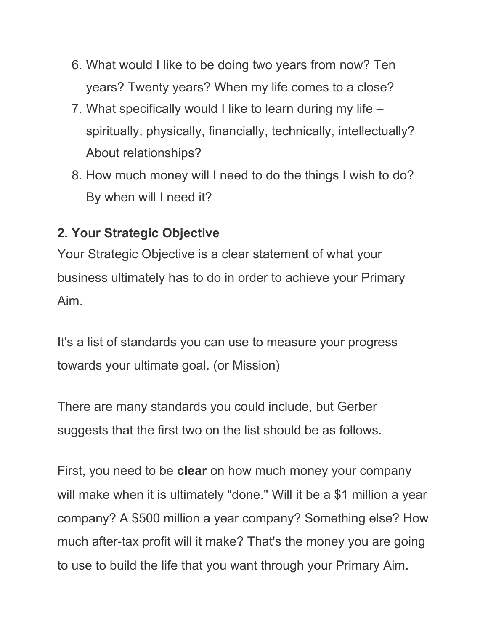- 6. What would I like to be doing two years from now? Ten years? Twenty years? When my life comes to a close?
- 7. What specifically would I like to learn during my life spiritually, physically, financially, technically, intellectually? About relationships?
- 8. How much money will I need to do the things I wish to do? By when will I need it?

# **2. Your Strategic Objective**

Your Strategic Objective is a clear statement of what your business ultimately has to do in order to achieve your Primary Aim.

It's a list of standards you can use to measure your progress towards your ultimate goal. (or Mission)

There are many standards you could include, but Gerber suggests that the first two on the list should be as follows.

First, you need to be **clear** on how much money your company will make when it is ultimately "done." Will it be a \$1 million a year company? A \$500 million a year company? Something else? How much after-tax profit will it make? That's the money you are going to use to build the life that you want through your Primary Aim.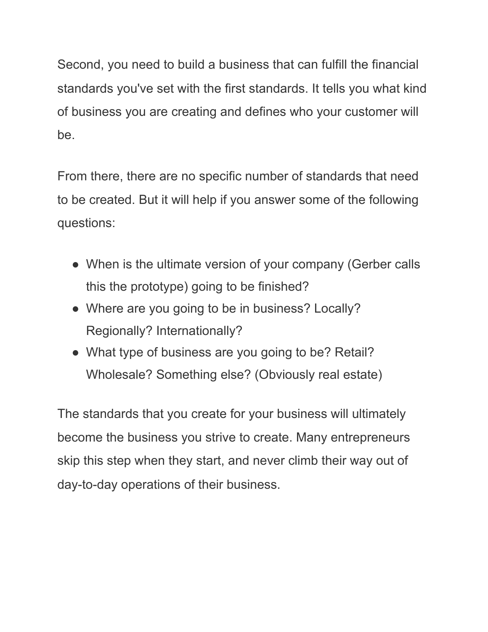Second, you need to build a business that can fulfill the financial standards you've set with the first standards. It tells you what kind of business you are creating and defines who your customer will be.

From there, there are no specific number of standards that need to be created. But it will help if you answer some of the following questions:

- When is the ultimate version of your company (Gerber calls this the prototype) going to be finished?
- Where are you going to be in business? Locally? Regionally? Internationally?
- What type of business are you going to be? Retail? Wholesale? Something else? (Obviously real estate)

The standards that you create for your business will ultimately become the business you strive to create. Many entrepreneurs skip this step when they start, and never climb their way out of day-to-day operations of their business.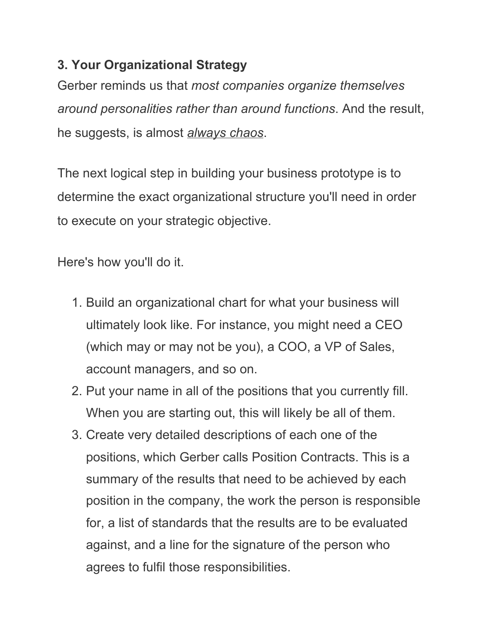# **3. Your Organizational Strategy**

Gerber reminds us that *most companies organize themselves around personalities rather than around functions*. And the result, he suggests, is almost *always chaos*.

The next logical step in building your business prototype is to determine the exact organizational structure you'll need in order to execute on your strategic objective.

Here's how you'll do it.

- 1. Build an organizational chart for what your business will ultimately look like. For instance, you might need a CEO (which may or may not be you), a COO, a VP of Sales, account managers, and so on.
- 2. Put your name in all of the positions that you currently fill. When you are starting out, this will likely be all of them.
- 3. Create very detailed descriptions of each one of the positions, which Gerber calls Position Contracts. This is a summary of the results that need to be achieved by each position in the company, the work the person is responsible for, a list of standards that the results are to be evaluated against, and a line for the signature of the person who agrees to fulfil those responsibilities.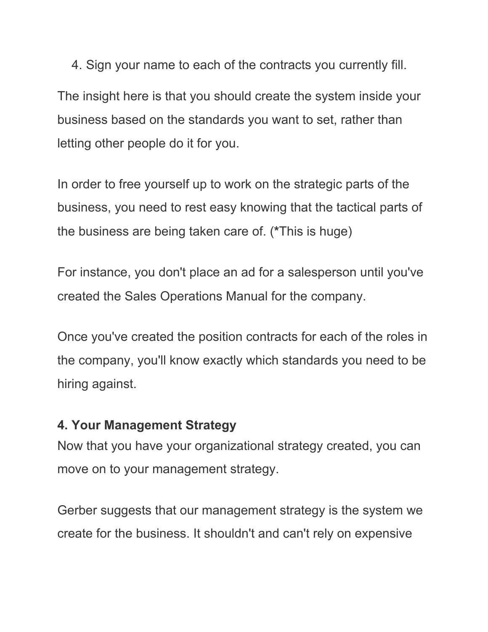4. Sign your name to each of the contracts you currently fill. The insight here is that you should create the system inside your

business based on the standards you want to set, rather than letting other people do it for you.

In order to free yourself up to work on the strategic parts of the business, you need to rest easy knowing that the tactical parts of the business are being taken care of. (**\***This is huge)

For instance, you don't place an ad for a salesperson until you've created the Sales Operations Manual for the company.

Once you've created the position contracts for each of the roles in the company, you'll know exactly which standards you need to be hiring against.

## **4. Your Management Strategy**

Now that you have your organizational strategy created, you can move on to your management strategy.

Gerber suggests that our management strategy is the system we create for the business. It shouldn't and can't rely on expensive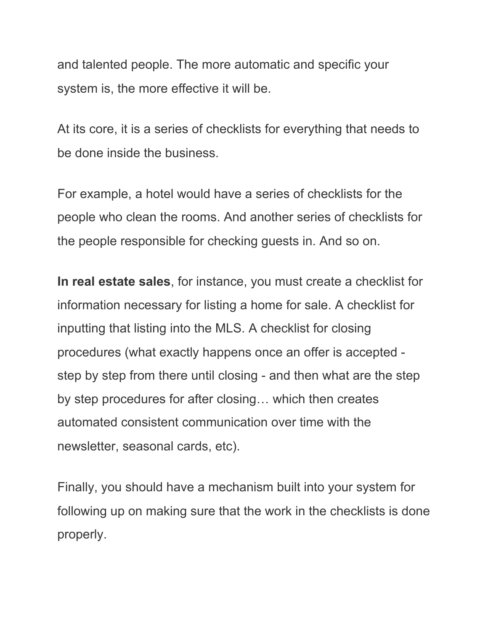and talented people. The more automatic and specific your system is, the more effective it will be.

At its core, it is a series of checklists for everything that needs to be done inside the business.

For example, a hotel would have a series of checklists for the people who clean the rooms. And another series of checklists for the people responsible for checking guests in. And so on.

**In real estate sales**, for instance, you must create a checklist for information necessary for listing a home for sale. A checklist for inputting that listing into the MLS. A checklist for closing procedures (what exactly happens once an offer is accepted step by step from there until closing - and then what are the step by step procedures for after closing… which then creates automated consistent communication over time with the newsletter, seasonal cards, etc).

Finally, you should have a mechanism built into your system for following up on making sure that the work in the checklists is done properly.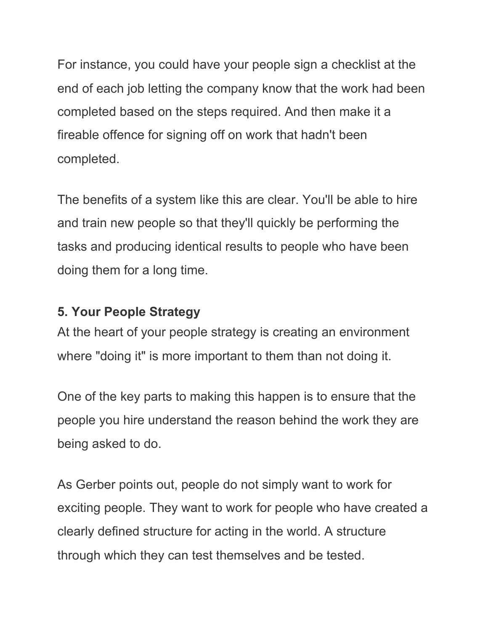For instance, you could have your people sign a checklist at the end of each job letting the company know that the work had been completed based on the steps required. And then make it a fireable offence for signing off on work that hadn't been completed.

The benefits of a system like this are clear. You'll be able to hire and train new people so that they'll quickly be performing the tasks and producing identical results to people who have been doing them for a long time.

# **5. Your People Strategy**

At the heart of your people strategy is creating an environment where "doing it" is more important to them than not doing it.

One of the key parts to making this happen is to ensure that the people you hire understand the reason behind the work they are being asked to do.

As Gerber points out, people do not simply want to work for exciting people. They want to work for people who have created a clearly defined structure for acting in the world. A structure through which they can test themselves and be tested.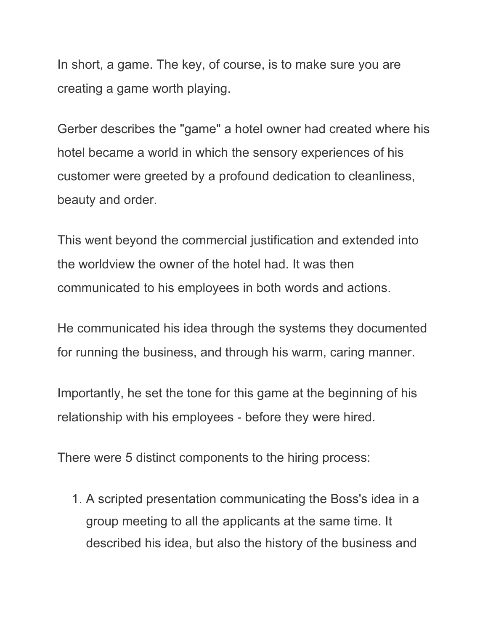In short, a game. The key, of course, is to make sure you are creating a game worth playing.

Gerber describes the "game" a hotel owner had created where his hotel became a world in which the sensory experiences of his customer were greeted by a profound dedication to cleanliness, beauty and order.

This went beyond the commercial justification and extended into the worldview the owner of the hotel had. It was then communicated to his employees in both words and actions.

He communicated his idea through the systems they documented for running the business, and through his warm, caring manner.

Importantly, he set the tone for this game at the beginning of his relationship with his employees - before they were hired.

There were 5 distinct components to the hiring process:

1. A scripted presentation communicating the Boss's idea in a group meeting to all the applicants at the same time. It described his idea, but also the history of the business and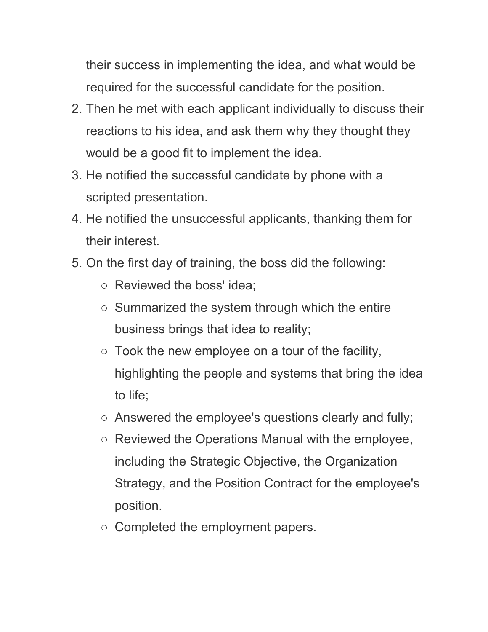their success in implementing the idea, and what would be required for the successful candidate for the position.

- 2. Then he met with each applicant individually to discuss their reactions to his idea, and ask them why they thought they would be a good fit to implement the idea.
- 3. He notified the successful candidate by phone with a scripted presentation.
- 4. He notified the unsuccessful applicants, thanking them for their interest.
- 5. On the first day of training, the boss did the following:
	- Reviewed the boss' idea;
	- Summarized the system through which the entire business brings that idea to reality;
	- $\circ$  Took the new employee on a tour of the facility, highlighting the people and systems that bring the idea to life;
	- Answered the employee's questions clearly and fully;
	- Reviewed the Operations Manual with the employee, including the Strategic Objective, the Organization Strategy, and the Position Contract for the employee's position.
	- Completed the employment papers.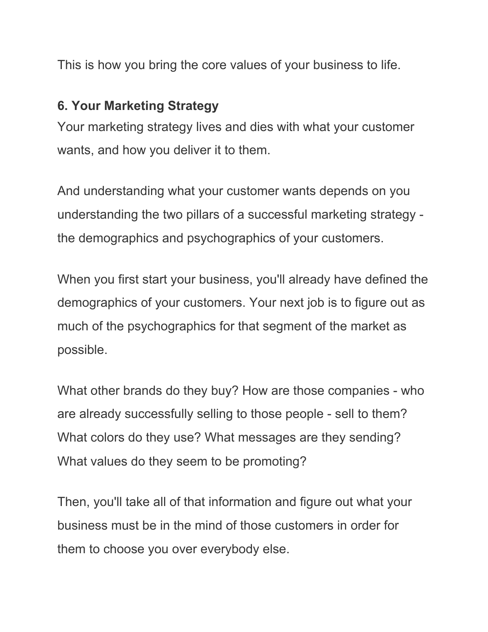This is how you bring the core values of your business to life.

## **6. Your Marketing Strategy**

Your marketing strategy lives and dies with what your customer wants, and how you deliver it to them.

And understanding what your customer wants depends on you understanding the two pillars of a successful marketing strategy the demographics and psychographics of your customers.

When you first start your business, you'll already have defined the demographics of your customers. Your next job is to figure out as much of the psychographics for that segment of the market as possible.

What other brands do they buy? How are those companies - who are already successfully selling to those people - sell to them? What colors do they use? What messages are they sending? What values do they seem to be promoting?

Then, you'll take all of that information and figure out what your business must be in the mind of those customers in order for them to choose you over everybody else.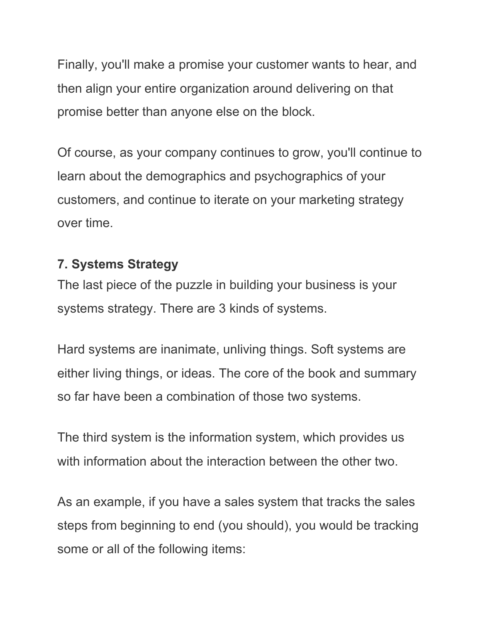Finally, you'll make a promise your customer wants to hear, and then align your entire organization around delivering on that promise better than anyone else on the block.

Of course, as your company continues to grow, you'll continue to learn about the demographics and psychographics of your customers, and continue to iterate on your marketing strategy over time.

## **7. Systems Strategy**

The last piece of the puzzle in building your business is your systems strategy. There are 3 kinds of systems.

Hard systems are inanimate, unliving things. Soft systems are either living things, or ideas. The core of the book and summary so far have been a combination of those two systems.

The third system is the information system, which provides us with information about the interaction between the other two.

As an example, if you have a sales system that tracks the sales steps from beginning to end (you should), you would be tracking some or all of the following items: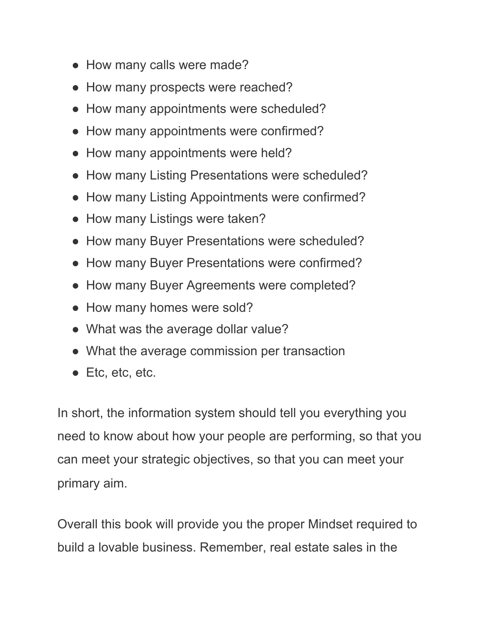- How many calls were made?
- How many prospects were reached?
- How many appointments were scheduled?
- How many appointments were confirmed?
- How many appointments were held?
- How many Listing Presentations were scheduled?
- How many Listing Appointments were confirmed?
- How many Listings were taken?
- How many Buyer Presentations were scheduled?
- How many Buyer Presentations were confirmed?
- How many Buyer Agreements were completed?
- How many homes were sold?
- What was the average dollar value?
- What the average commission per transaction
- Etc, etc, etc.

In short, the information system should tell you everything you need to know about how your people are performing, so that you can meet your strategic objectives, so that you can meet your primary aim.

Overall this book will provide you the proper Mindset required to build a lovable business. Remember, real estate sales in the